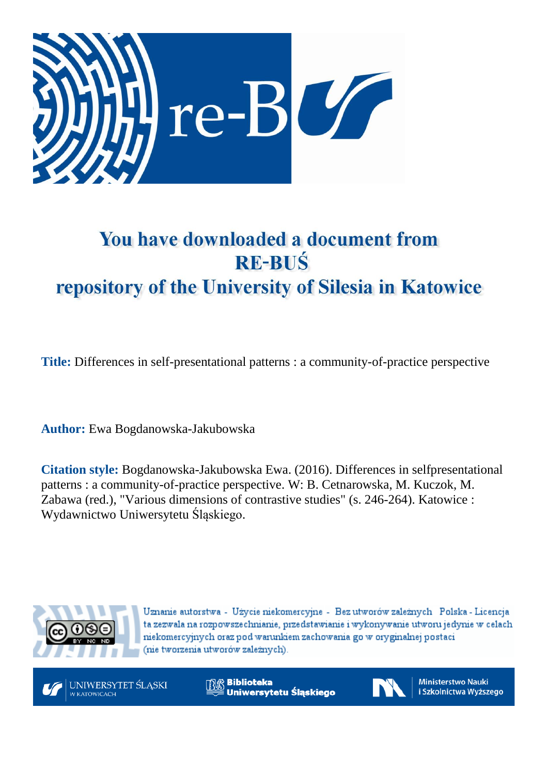

# You have downloaded a document from **RE-BUŚ** repository of the University of Silesia in Katowice

**Title:** Differences in self-presentational patterns : a community-of-practice perspective

**Author:** Ewa Bogdanowska-Jakubowska

**Citation style:** Bogdanowska-Jakubowska Ewa. (2016). Differences in selfpresentational patterns : a community-of-practice perspective. W: B. Cetnarowska, M. Kuczok, M. Zabawa (red.), "Various dimensions of contrastive studies" (s. 246-264). Katowice : Wydawnictwo Uniwersytetu Śląskiego.



Uznanie autorstwa - Użycie niekomercyjne - Bez utworów zależnych Polska - Licencja ta zezwala na rozpowszechnianie, przedstawianie i wykonywanie utworu jedynie w celach niekomercyjnych oraz pod warunkiem zachowania go w oryginalnej postaci (nie tworzenia utworów zależnych).



**Biblioteka** Uniwersytetu Śląskiego



**Ministerstwo Nauki** i Szkolnictwa Wyższego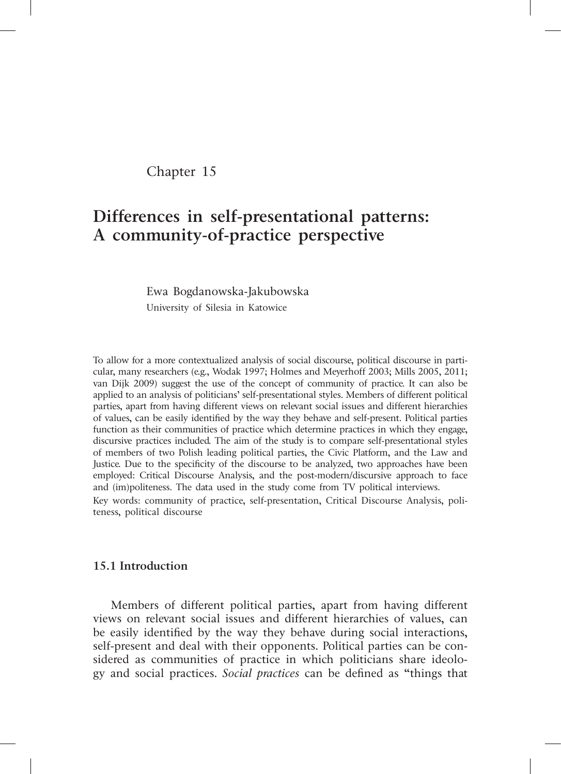# Chapter 15

# **Differences in self-presentational patterns: A community-of-practice perspective**

Ewa Bogdanowska-Jakubowska University of Silesia in Katowice

To allow for a more contextualized analysis of social discourse, political discourse in particular, many researchers (e.g., Wodak 1997; Holmes and Meyerhoff 2003; Mills 2005, 2011; van Dijk 2009) suggest the use of the concept of community of practice. It can also be applied to an analysis of politicians' self-presentational styles. Members of different political parties, apart from having different views on relevant social issues and different hierarchies of values, can be easily identified by the way they behave and self-present. Political parties function as their communities of practice which determine practices in which they engage, discursive practices included. The aim of the study is to compare self-presentational styles of members of two Polish leading political parties, the Civic Platform, and the Law and Justice. Due to the specificity of the discourse to be analyzed, two approaches have been employed: Critical Discourse Analysis, and the post-modern/discursive approach to face and (im)politeness. The data used in the study come from TV political interviews. Key words: community of practice, self-presentation, Critical Discourse Analysis, politeness, political discourse

#### **15.1 Introduction**

Members of different political parties, apart from having different views on relevant social issues and different hierarchies of values, can be easily identified by the way they behave during social interactions, self-present and deal with their opponents. Political parties can be considered as communities of practice in which politicians share ideology and social practices. *Social practices* can be defined as "things that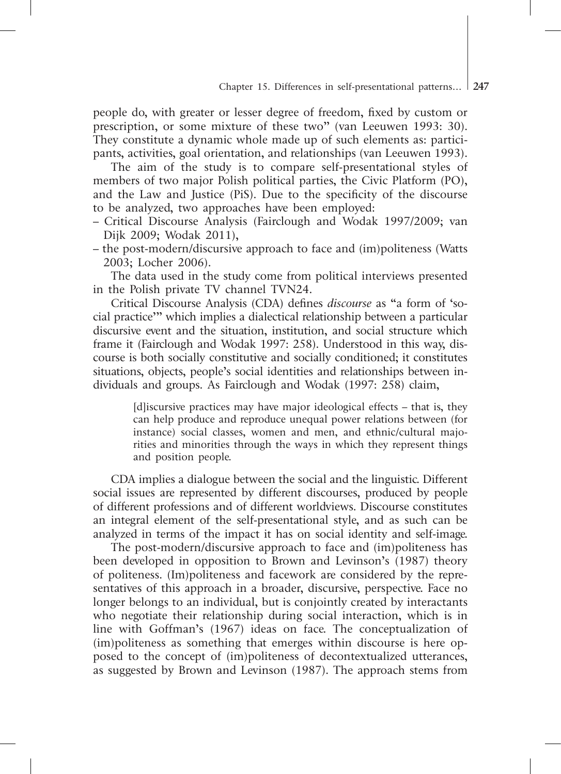people do, with greater or lesser degree of freedom, fixed by custom or prescription, or some mixture of these two" (van Leeuwen 1993: 30). They constitute a dynamic whole made up of such elements as: participants, activities, goal orientation, and relationships (van Leeuwen 1993).

The aim of the study is to compare self-presentational styles of members of two major Polish political parties, the Civic Platform (PO), and the Law and Justice (PiS). Due to the specificity of the discourse to be analyzed, two approaches have been employed:

- Critical Discourse Analysis (Fairclough and Wodak 1997/2009; van Dijk 2009; Wodak 2011),
- the post-modern/discursive approach to face and (im)politeness (Watts 2003; Locher 2006).

The data used in the study come from political interviews presented in the Polish private TV channel TVN24.

Critical Discourse Analysis (CDA) defines *discourse* as "a form of 'social practice'" which implies a dialectical relationship between a particular discursive event and the situation, institution, and social structure which frame it (Fairclough and Wodak 1997: 258). Understood in this way, discourse is both socially constitutive and socially conditioned; it constitutes situations, objects, people's social identities and relationships between individuals and groups. As Fairclough and Wodak (1997: 258) claim,

> [d]iscursive practices may have major ideological effects – that is, they can help produce and reproduce unequal power relations between (for instance) social classes, women and men, and ethnic/cultural majorities and minorities through the ways in which they represent things and position people.

CDA implies a dialogue between the social and the linguistic. Different social issues are represented by different discourses, produced by people of different professions and of different worldviews. Discourse constitutes an integral element of the self-presentational style, and as such can be analyzed in terms of the impact it has on social identity and self-image.

The post-modern/discursive approach to face and (im)politeness has been developed in opposition to Brown and Levinson's (1987) theory of politeness. (Im)politeness and facework are considered by the representatives of this approach in a broader, discursive, perspective. Face no longer belongs to an individual, but is conjointly created by interactants who negotiate their relationship during social interaction, which is in line with Goffman's (1967) ideas on face. The conceptualization of (im)politeness as something that emerges within discourse is here opposed to the concept of (im)politeness of decontextualized utterances, as suggested by Brown and Levinson (1987). The approach stems from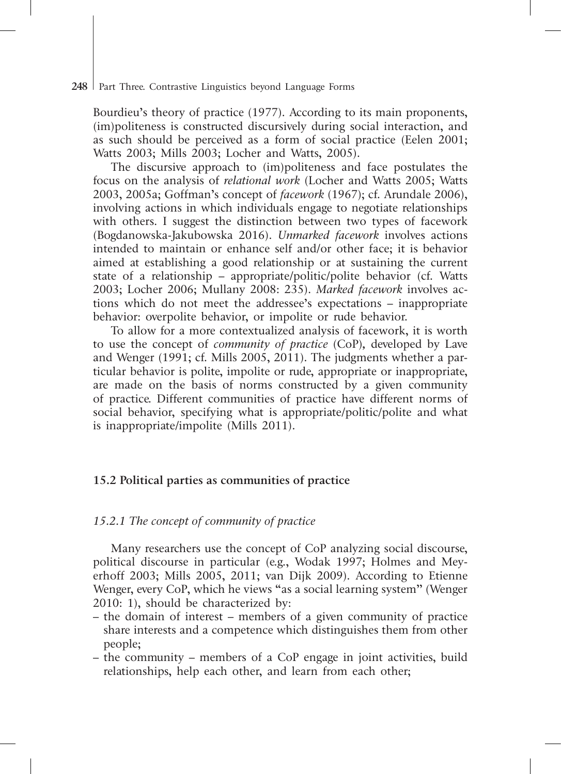Bourdieu's theory of practice (1977). According to its main proponents, (im)politeness is constructed discursively during social interaction, and as such should be perceived as a form of social practice (Eelen 2001; Watts 2003; Mills 2003; Locher and Watts, 2005).

The discursive approach to (im)politeness and face postulates the focus on the analysis of *relational work* (Locher and Watts 2005; Watts 2003, 2005a; Goffman's concept of *facework* (1967); cf. Arundale 2006), involving actions in which individuals engage to negotiate relationships with others. I suggest the distinction between two types of facework (Bogdanowska-Jakubowska 2016). *Unmarked facework* involves actions intended to maintain or enhance self and/or other face; it is behavior aimed at establishing a good relationship or at sustaining the current state of a relationship – appropriate/politic/polite behavior (cf. Watts 2003; Locher 2006; Mullany 2008: 235). *Marked facework* involves actions which do not meet the addressee's expectations – inappropriate behavior: overpolite behavior, or impolite or rude behavior.

To allow for a more contextualized analysis of facework, it is worth to use the concept of *community of practice* (CoP)*,* developed by Lave and Wenger (1991; cf. Mills 2005, 2011). The judgments whether a particular behavior is polite, impolite or rude, appropriate or inappropriate, are made on the basis of norms constructed by a given community of practice. Different communities of practice have different norms of social behavior, specifying what is appropriate/politic/polite and what is inappropriate/impolite (Mills 2011).

# **15.2 Political parties as communities of practice**

# *15.2.1 The concept of community of practice*

Many researchers use the concept of CoP analyzing social discourse, political discourse in particular (e.g., Wodak 1997; Holmes and Meyerhoff 2003; Mills 2005, 2011; van Dijk 2009). According to Etienne Wenger, every CoP, which he views "as a social learning system" (Wenger 2010: 1), should be characterized by:

- the domain of interest members of a given community of practice share interests and a competence which distinguishes them from other people;
- the community members of a CoP engage in joint activities, build relationships, help each other, and learn from each other;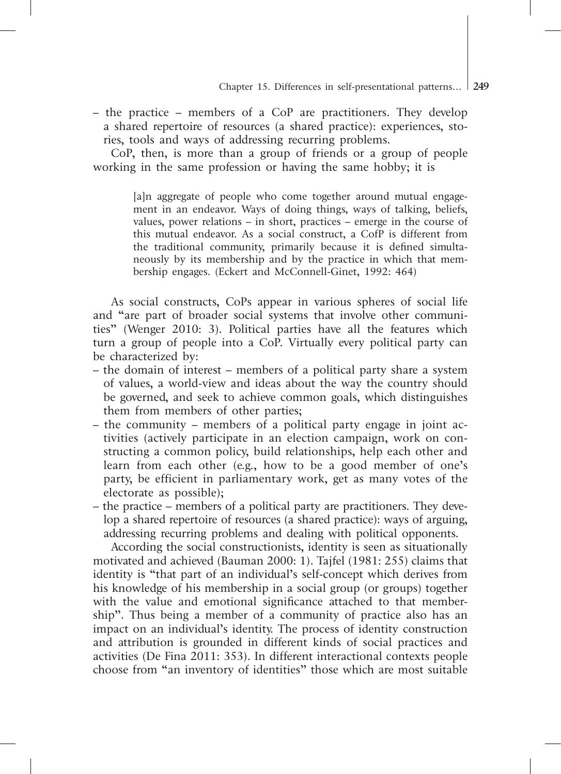– the practice – members of a CoP are practitioners. They develop a shared repertoire of resources (a shared practice): experiences, stories, tools and ways of addressing recurring problems.

CoP, then, is more than a group of friends or a group of people working in the same profession or having the same hobby; it is

> [a]n aggregate of people who come together around mutual engagement in an endeavor. Ways of doing things, ways of talking, beliefs, values, power relations – in short, practices – emerge in the course of this mutual endeavor. As a social construct, a CofP is different from the traditional community, primarily because it is defined simultaneously by its membership and by the practice in which that membership engages. (Eckert and McConnell-Ginet, 1992: 464)

As social constructs, CoPs appear in various spheres of social life and "are part of broader social systems that involve other communities" (Wenger 2010: 3). Political parties have all the features which turn a group of people into a CoP. Virtually every political party can be characterized by:

- the domain of interest members of a political party share a system of values, a world-view and ideas about the way the country should be governed, and seek to achieve common goals, which distinguishes them from members of other parties;
- the community members of a political party engage in joint activities (actively participate in an election campaign, work on constructing a common policy, build relationships, help each other and learn from each other (e.g., how to be a good member of one's party, be efficient in parliamentary work, get as many votes of the electorate as possible);
- the practice members of a political party are practitioners. They develop a shared repertoire of resources (a shared practice): ways of arguing, addressing recurring problems and dealing with political opponents.

According the social constructionists, identity is seen as situationally motivated and achieved (Bauman 2000: 1). Tajfel (1981: 255) claims that identity is "that part of an individual's self-concept which derives from his knowledge of his membership in a social group (or groups) together with the value and emotional significance attached to that membership". Thus being a member of a community of practice also has an impact on an individual's identity. The process of identity construction and attribution is grounded in different kinds of social practices and activities (De Fina 2011: 353). In different interactional contexts people choose from "an inventory of identities" those which are most suitable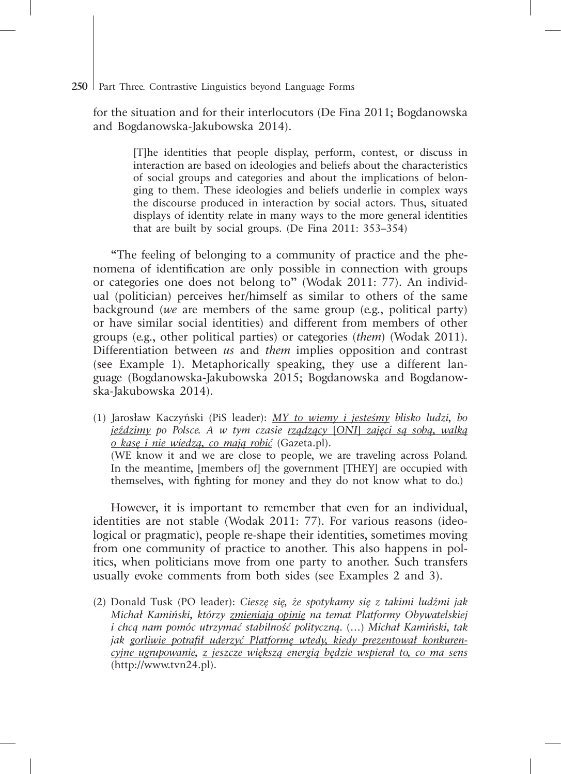for the situation and for their interlocutors (De Fina 2011; Bogdanowska and Bogdanowska-Jakubowska 2014).

> [T]he identities that people display, perform, contest, or discuss in interaction are based on ideologies and beliefs about the characteristics of social groups and categories and about the implications of belonging to them. These ideologies and beliefs underlie in complex ways the discourse produced in interaction by social actors. Thus, situated displays of identity relate in many ways to the more general identities that are built by social groups. (De Fina 2011: 353–354)

"The feeling of belonging to a community of practice and the phenomena of identification are only possible in connection with groups or categories one does not belong to" (Wodak 2011: 77). An individual (politician) perceives her/himself as similar to others of the same background (*we* are members of the same group (e.g., political party) or have similar social identities) and different from members of other groups (e.g., other political parties) or categories (*them*) (Wodak 2011). Differentiation between *us* and *them* implies opposition and contrast (see Example 1). Metaphorically speaking, they use a different language (Bogdanowska-Jakubowska 2015; Bogdanowska and Bogdanowska-Jakubowska 2014).

(1) Jarosław Kaczyński (PiS leader): *MY to wiemy i jesteśmy blisko ludzi, bo jeździmy po Polsce. A w tym czasie rządzący* [*ONI*] *zajęci są sobą, walką o kasę i nie wiedzą, co mają robić* (Gazeta.pl). (WE know it and we are close to people, we are traveling across Poland. In the meantime, [members of] the government [THEY] are occupied with themselves, with fighting for money and they do not know what to do.)

However, it is important to remember that even for an individual, identities are not stable (Wodak 2011: 77). For various reasons (ideological or pragmatic), people re-shape their identities, sometimes moving from one community of practice to another. This also happens in politics, when politicians move from one party to another. Such transfers usually evoke comments from both sides (see Examples 2 and 3).

(2) Donald Tusk (PO leader): *Cieszę się, że spotykamy się z takimi ludźmi jak Michał Kamiński, którzy zmieniają opinię na temat Platformy Obywatelskiej i chcą nam pomóc utrzymać stabilność polityczną.* (…) *Michał Kamiński, tak jak gorliwie potrafił uderzyć Platformę wtedy, kiedy prezentował konkurencyjne ugrupowanie, z jeszcze większą energią będzie wspierał to, co ma sens* (http://www.tvn24.pl).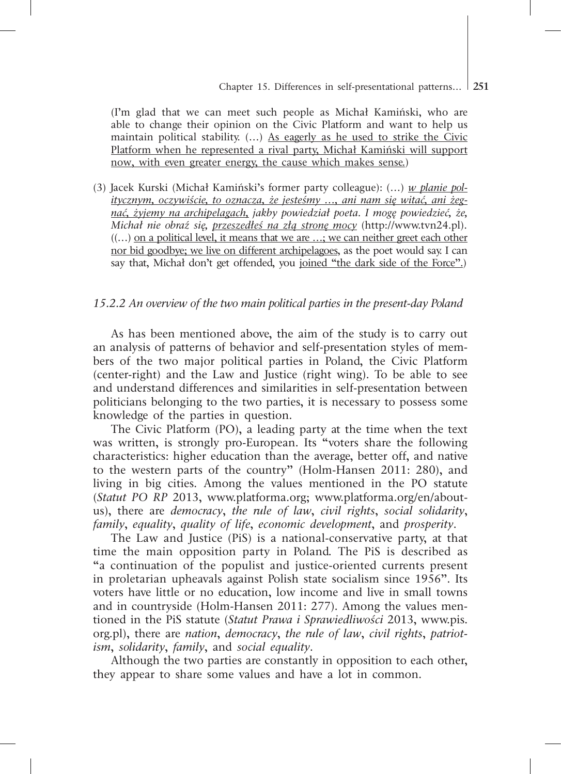(I'm glad that we can meet such people as Michał Kamiński, who are able to change their opinion on the Civic Platform and want to help us maintain political stability. (...) As eagerly as he used to strike the Civic Platform when he represented a rival party, Michał Kamiński will support now, with even greater energy, the cause which makes sense.)

(3) Jacek Kurski (Michał Kamiński's former party colleague): (…) *w planie politycznym, oczywiście, to oznacza, że jesteśmy …, ani nam się witać, ani żegnać, żyjemy na archipelagach, jakby powiedział poeta. I mogę powiedzieć, że, Michał nie obraź się, przeszedłeś na złą stronę mocy* (http://www.tvn24.pl).  $((\ldots)$  on a political level, it means that we are  $\ldots$ ; we can neither greet each other nor bid goodbye; we live on different archipelagoes, as the poet would say. I can say that, Michał don't get offended, you joined "the dark side of the Force".)

#### *15.2.2 An overview of the two main political parties in the present-day Poland*

As has been mentioned above, the aim of the study is to carry out an analysis of patterns of behavior and self-presentation styles of members of the two major political parties in Poland, the Civic Platform (center-right) and the Law and Justice (right wing). To be able to see and understand differences and similarities in self-presentation between politicians belonging to the two parties, it is necessary to possess some knowledge of the parties in question.

The Civic Platform (PO), a leading party at the time when the text was written, is strongly pro-European. Its "voters share the following characteristics: higher education than the average, better off, and native to the western parts of the country" (Holm-Hansen 2011: 280), and living in big cities. Among the values mentioned in the PO statute (*Statut PO RP* 2013, www.platforma.org; www.platforma.org/en/aboutus), there are *democracy*, *the rule of law*, *civil rights*, *social solidarity*, *family*, *equality*, *quality of life*, *economic development*, and *prosperity*.

The Law and Justice (PiS) is a national-conservative party, at that time the main opposition party in Poland. The PiS is described as "a continuation of the populist and justice-oriented currents present in proletarian upheavals against Polish state socialism since 1956". Its voters have little or no education, low income and live in small towns and in countryside (Holm-Hansen 2011: 277). Among the values mentioned in the PiS statute (*Statut Prawa i Sprawiedliwości* 2013, www.pis. org.pl), there are *nation*, *democracy*, *the rule of law*, *civil rights*, *patriotism*, *solidarity*, *family*, and *social equality*.

Although the two parties are constantly in opposition to each other, they appear to share some values and have a lot in common.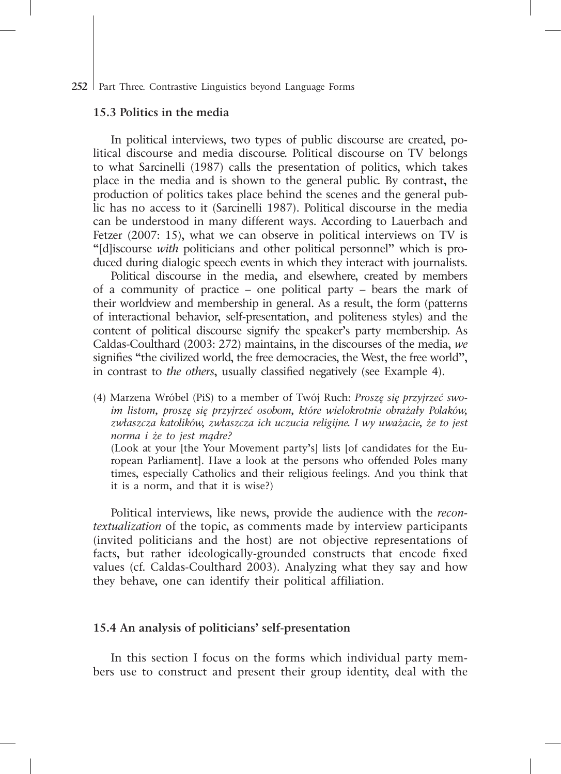#### **15.3 Politics in the media**

In political interviews, two types of public discourse are created, political discourse and media discourse. Political discourse on TV belongs to what Sarcinelli (1987) calls the presentation of politics, which takes place in the media and is shown to the general public. By contrast, the production of politics takes place behind the scenes and the general public has no access to it (Sarcinelli 1987). Political discourse in the media can be understood in many different ways. According to Lauerbach and Fetzer (2007: 15), what we can observe in political interviews on TV is "[d]iscourse *with* politicians and other political personnel" which is produced during dialogic speech events in which they interact with journalists.

Political discourse in the media, and elsewhere, created by members of a community of practice – one political party – bears the mark of their worldview and membership in general. As a result, the form (patterns of interactional behavior, self-presentation, and politeness styles) and the content of political discourse signify the speaker's party membership. As Caldas-Coulthard (2003: 272) maintains, in the discourses of the media, *we* signifies "the civilized world, the free democracies, the West, the free world", in contrast to *the others*, usually classified negatively (see Example 4).

(4) Marzena Wróbel (PiS) to a member of Twój Ruch: *Proszę się przyjrzeć swoim listom, proszę się przyjrzeć osobom, które wielokrotnie obrażały Polaków, zwłaszcza katolików, zwłaszcza ich uczucia religijne. I wy uważacie, że to jest norma i że to jest mądre?*

(Look at your [the Your Movement party's] lists [of candidates for the European Parliament]. Have a look at the persons who offended Poles many times, especially Catholics and their religious feelings. And you think that it is a norm, and that it is wise?)

Political interviews, like news, provide the audience with the *recontextualization* of the topic, as comments made by interview participants (invited politicians and the host) are not objective representations of facts, but rather ideologically-grounded constructs that encode fixed values (cf. Caldas-Coulthard 2003). Analyzing what they say and how they behave, one can identify their political affiliation.

# **15.4 An analysis of politicians' self-presentation**

In this section I focus on the forms which individual party members use to construct and present their group identity, deal with the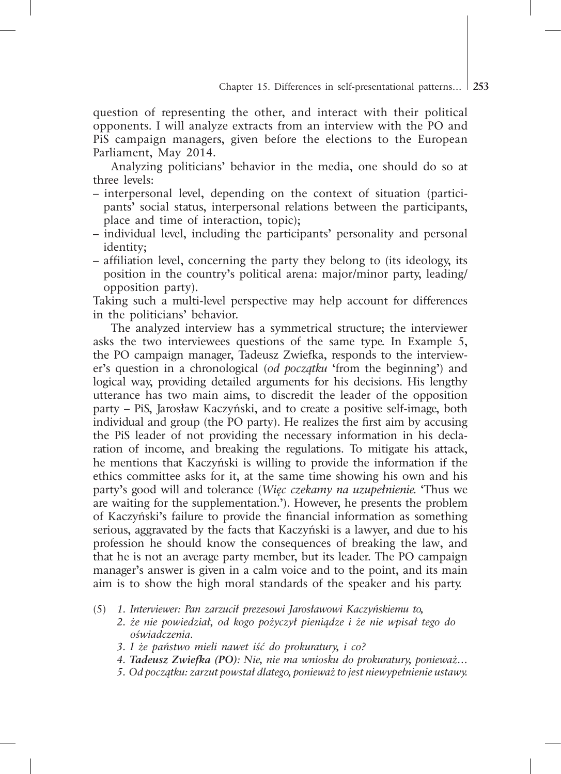question of representing the other, and interact with their political opponents. I will analyze extracts from an interview with the PO and PiS campaign managers, given before the elections to the European Parliament, May 2014.

Analyzing politicians' behavior in the media, one should do so at three levels:

- interpersonal level, depending on the context of situation (participants' social status, interpersonal relations between the participants, place and time of interaction, topic);
- individual level, including the participants' personality and personal identity;
- affiliation level, concerning the party they belong to (its ideology, its position in the country's political arena: major/minor party, leading/ opposition party).

Taking such a multi-level perspective may help account for differences in the politicians' behavior.

The analyzed interview has a symmetrical structure; the interviewer asks the two interviewees questions of the same type. In Example 5, the PO campaign manager, Tadeusz Zwiefka, responds to the interviewer's question in a chronological (*od początku* 'from the beginning') and logical way, providing detailed arguments for his decisions. His lengthy utterance has two main aims, to discredit the leader of the opposition party – PiS, Jarosław Kaczyński, and to create a positive self-image, both individual and group (the PO party). He realizes the first aim by accusing the PiS leader of not providing the necessary information in his declaration of income, and breaking the regulations. To mitigate his attack, he mentions that Kaczyński is willing to provide the information if the ethics committee asks for it, at the same time showing his own and his party's good will and tolerance (*Więc czekamy na uzupełnienie.* 'Thus we are waiting for the supplementation.'). However, he presents the problem of Kaczyński's failure to provide the financial information as something serious, aggravated by the facts that Kaczyński is a lawyer, and due to his profession he should know the consequences of breaking the law, and that he is not an average party member, but its leader. The PO campaign manager's answer is given in a calm voice and to the point, and its main aim is to show the high moral standards of the speaker and his party.

- *2. że nie powiedział, od kogo pożyczył pieniądze i że nie wpisał tego do oświadczenia.*
- *3. I że państwo mieli nawet iść do prokuratury, i co?*
- *4. Tadeusz Zwiefka (PO): Nie, nie ma wniosku do prokuratury, ponieważ…*
- *5. Od początku: zarzut powstał dlatego, ponieważ to jest niewypełnienie ustawy.*

<sup>(5)</sup> *1. Interviewer: Pan zarzucił prezesowi Jarosławowi Kaczyńskiemu to,*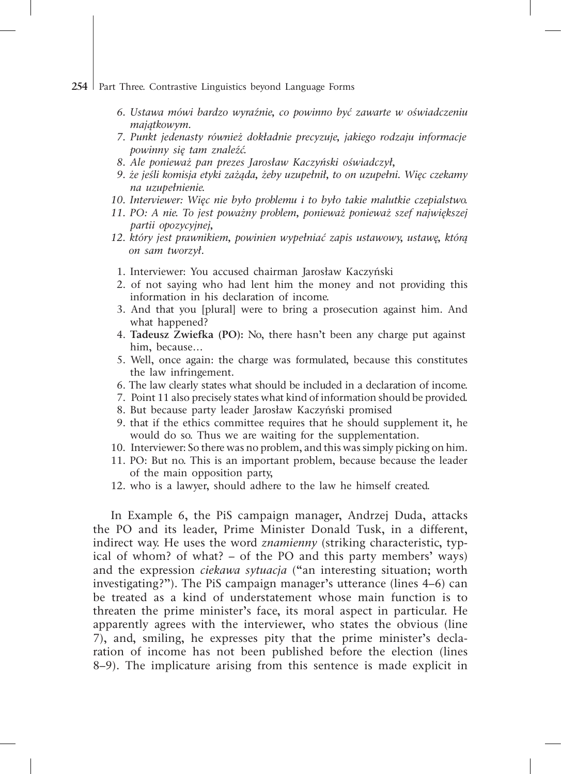- 254 Part Three. Contrastive Linguistics beyond Language Forms
	- *6. Ustawa mówi bardzo wyraźnie, co powinno być zawarte w oświadczeniu majątkowym.*
	- *7. Punkt jedenasty również dokładnie precyzuje, jakiego rodzaju informacje powinny się tam znaleźć.*
	- *8. Ale ponieważ pan prezes Jarosław Kaczyński oświadczył,*
	- *9. że jeśli komisja etyki zażąda, żeby uzupełnił, to on uzupełni. Więc czekamy na uzupełnienie.*
	- *10. Interviewer: Więc nie było problemu i to było takie malutkie czepialstwo.*
	- *11. PO: A nie. To jest poważny problem, ponieważ ponieważ szef największej partii opozycyjnej,*
	- *12. który jest prawnikiem, powinien wypełniać zapis ustawowy, ustawę, którą on sam tworzył.*
		- 1. Interviewer: You accused chairman Jarosław Kaczyński
		- 2. of not saying who had lent him the money and not providing this information in his declaration of income.
		- 3. And that you [plural] were to bring a prosecution against him. And what happened?
		- 4. **Tadeusz Zwiefka (PO):** No, there hasn't been any charge put against him, because…
		- 5. Well, once again: the charge was formulated, because this constitutes the law infringement.
		- 6. The law clearly states what should be included in a declaration of income.
		- 7. Point 11 also precisely states what kind of information should be provided.
		- 8. But because party leader Jarosław Kaczyński promised
	- 9. that if the ethics committee requires that he should supplement it, he would do so. Thus we are waiting for the supplementation.
	- 10. Interviewer: So there was no problem, and this was simply picking on him.
	- 11. PO: But no. This is an important problem, because because the leader of the main opposition party,
	- 12. who is a lawyer, should adhere to the law he himself created.

In Example 6, the PiS campaign manager, Andrzej Duda, attacks the PO and its leader, Prime Minister Donald Tusk, in a different, indirect way. He uses the word *znamienny* (striking characteristic, typical of whom? of what? – of the PO and this party members' ways) and the expression *ciekawa sytuacja* ("an interesting situation; worth investigating?"). The PiS campaign manager's utterance (lines 4–6) can be treated as a kind of understatement whose main function is to threaten the prime minister's face, its moral aspect in particular. He apparently agrees with the interviewer, who states the obvious (line 7), and, smiling, he expresses pity that the prime minister's declaration of income has not been published before the election (lines 8–9). The implicature arising from this sentence is made explicit in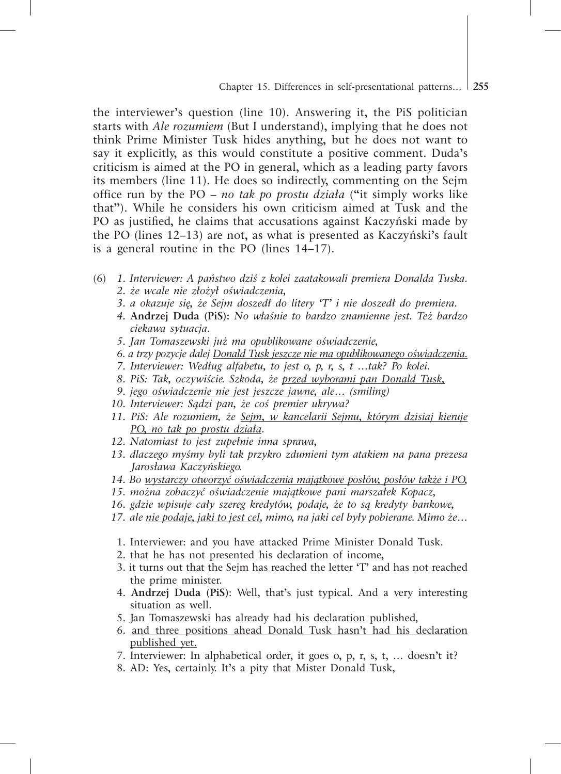the interviewer's question (line 10). Answering it, the PiS politician starts with *Ale rozumiem* (But I understand), implying that he does not think Prime Minister Tusk hides anything, but he does not want to say it explicitly, as this would constitute a positive comment. Duda's criticism is aimed at the PO in general, which as a leading party favors its members (line 11). He does so indirectly, commenting on the Sejm office run by the PO – *no tak po prostu działa* ("it simply works like that"). While he considers his own criticism aimed at Tusk and the PO as justified, he claims that accusations against Kaczyński made by the PO (lines 12–13) are not, as what is presented as Kaczyński's fault is a general routine in the PO (lines 14–17).

- (6) *1. Interviewer: A państwo dziś z kolei zaatakowali premiera Donalda Tuska. 2. że wcale nie złożył oświadczenia,* 
	- *3. a okazuje się, że Sejm doszedł do litery 'T' i nie doszedł do premiera.*
	- *4.* **Andrzej Duda (PiS):** *No właśnie to bardzo znamienne jest. Też bardzo ciekawa sytuacja.*
	- *5. Jan Tomaszewski już ma opublikowane oświadczenie,*
	- *6. a trzy pozycje dalej Donald Tusk jeszcze nie ma opublikowanego oświadczenia.*
	- *7. Interviewer: Według alfabetu, to jest o, p, r, s, t …tak? Po kolei.*
	- *8. PiS: Tak, oczywiście. Szkoda, że przed wyborami pan Donald Tusk,*
	- *9. jego oświadczenie nie jest jeszcze jawne, ale… (smiling)*
	- *10. Interviewer: Sądzi pan, że coś premier ukrywa?*
	- *11. PiS: Ale rozumiem, że Sejm, w kancelarii Sejmu, którym dzisiaj kieruje PO, no tak po prostu działa.*
	- *12. Natomiast to jest zupełnie inna sprawa,*
	- *13. dlaczego myśmy byli tak przykro zdumieni tym atakiem na pana prezesa Jarosława Kaczyńskiego.*
	- *14. Bo wystarczy otworzyć oświadczenia majątkowe posłów, posłów także i PO,*
	- *15. można zobaczyć oświadczenie majątkowe pani marszałek Kopacz,*
	- *16. gdzie wpisuje cały szereg kredytów, podaje, że to są kredyty bankowe,*
	- *17. ale nie podaje, jaki to jest cel, mimo, na jaki cel były pobierane. Mimo że…*
		- 1. Interviewer: and you have attacked Prime Minister Donald Tusk.
		- 2. that he has not presented his declaration of income,
		- 3. it turns out that the Sejm has reached the letter 'T' and has not reached the prime minister.
		- 4. **Andrzej Duda (PiS)**: Well, that's just typical. And a very interesting situation as well.
		- 5. Jan Tomaszewski has already had his declaration published,
		- 6. and three positions ahead Donald Tusk hasn't had his declaration published yet.
		- 7. Interviewer: In alphabetical order, it goes o, p, r, s, t, … doesn't it?
		- 8. AD: Yes, certainly. It's a pity that Mister Donald Tusk,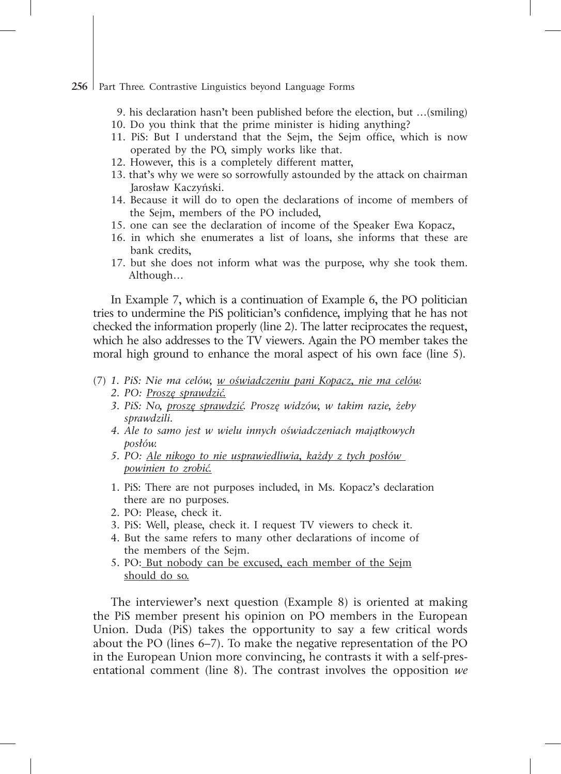- 9. his declaration hasn't been published before the election, but …(smiling)
- 10. Do you think that the prime minister is hiding anything?
- 11. PiS: But I understand that the Sejm, the Sejm office, which is now operated by the PO, simply works like that.
- 12. However, this is a completely different matter,
- 13. that's why we were so sorrowfully astounded by the attack on chairman Jarosław Kaczyński.
- 14. Because it will do to open the declarations of income of members of the Sejm, members of the PO included,
- 15. one can see the declaration of income of the Speaker Ewa Kopacz,
- 16. in which she enumerates a list of loans, she informs that these are bank credits,
- 17. but she does not inform what was the purpose, why she took them. Although…

In Example 7, which is a continuation of Example 6, the PO politician tries to undermine the PiS politician's confidence, implying that he has not checked the information properly (line 2). The latter reciprocates the request, which he also addresses to the TV viewers. Again the PO member takes the moral high ground to enhance the moral aspect of his own face (line 5).

- (7) *1. PiS: Nie ma celów, w oświadczeniu pani Kopacz, nie ma celów.*
	- *2. PO: Proszę sprawdzić.*
	- *3. PiS: No, proszę sprawdzić. Proszę widzów, w takim razie, żeby sprawdzili.*
	- *4. Ale to samo jest w wielu innych oświadczeniach majątkowych posłów.*
	- *5. PO: Ale nikogo to nie usprawiedliwia, każdy z tych posłów powinien to zrobić.*
	- 1. PiS: There are not purposes included, in Ms. Kopacz's declaration there are no purposes.
	- 2. PO: Please, check it.
	- 3. PiS: Well, please, check it. I request TV viewers to check it.
	- 4. But the same refers to many other declarations of income of the members of the Sejm.
	- 5. PO: But nobody can be excused, each member of the Sejm should do so.

The interviewer's next question (Example 8) is oriented at making the PiS member present his opinion on PO members in the European Union. Duda (PiS) takes the opportunity to say a few critical words about the PO (lines 6–7). To make the negative representation of the PO in the European Union more convincing, he contrasts it with a self-presentational comment (line 8). The contrast involves the opposition *we*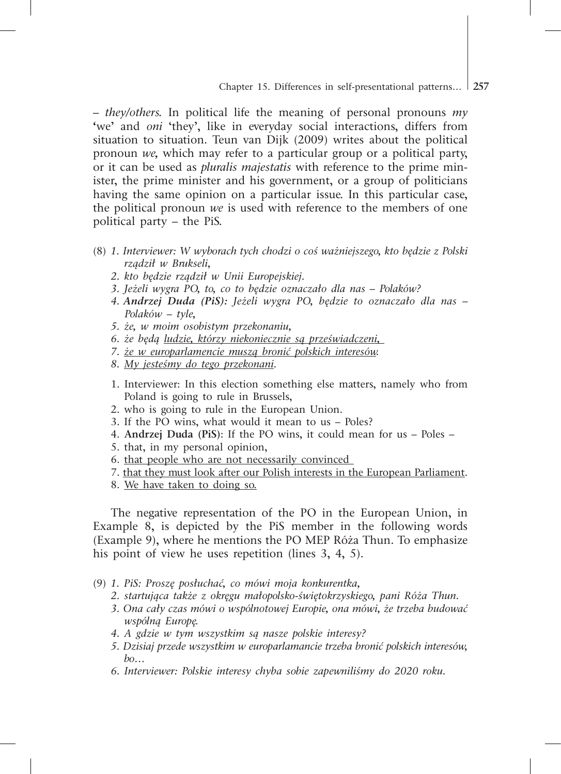*– they/others.* In political life the meaning of personal pronouns *my*  **'**we' and *oni* 'they', like in everyday social interactions, differs from situation to situation. Teun van Dijk (2009) writes about the political pronoun *we,* which may refer to a particular group or a political party, or it can be used as *pluralis majestatis* with reference to the prime minister, the prime minister and his government, or a group of politicians having the same opinion on a particular issue. In this particular case, the political pronoun *we* is used with reference to the members of one political party – the PiS.

- (8) *1. Interviewer: W wyborach tych chodzi o coś ważniejszego, kto będzie z Polski rządził w Brukseli,* 
	- *2. kto będzie rządził w Unii Europejskiej.*
	- *3. Jeżeli wygra PO, to, co to będzie oznaczało dla nas Polaków?*
	- *4. Andrzej Duda (PiS): Jeżeli wygra PO, będzie to oznaczało dla nas – Polaków – tyle,*
	- *5. że, w moim osobistym przekonaniu,*
	- *6. że będą ludzie, którzy niekoniecznie są przeświadczeni,*
	- *7. że w europarlamencie muszą bronić polskich interesów.*
	- *8. My jesteśmy do tego przekonani.*
	- 1. Interviewer: In this election something else matters, namely who from Poland is going to rule in Brussels,
	- 2. who is going to rule in the European Union.
	- 3. If the PO wins, what would it mean to us Poles?
	- 4. **Andrzej Duda (PiS)**: If the PO wins, it could mean for us Poles –
	- 5. that, in my personal opinion,
	- 6. that people who are not necessarily convinced
	- 7. that they must look after our Polish interests in the European Parliament.
	- 8. We have taken to doing so.

The negative representation of the PO in the European Union, in Example 8, is depicted by the PiS member in the following words (Example 9), where he mentions the PO MEP Róża Thun. To emphasize his point of view he uses repetition (lines 3, 4, 5).

- (9) *1. PiS: Proszę posłuchać, co mówi moja konkurentka,* 
	- *2. startująca także z okręgu małopolsko-świętokrzyskiego, pani Róża Thun.*
	- *3. Ona cały czas mówi o wspólnotowej Europie, ona mówi, że trzeba budować wspólną Europę.*
	- *4. A gdzie w tym wszystkim są nasze polskie interesy?*
	- *5. Dzisiaj przede wszystkim w europarlamancie trzeba bronić polskich interesów, bo…*
	- *6. Interviewer: Polskie interesy chyba sobie zapewniliśmy do 2020 roku.*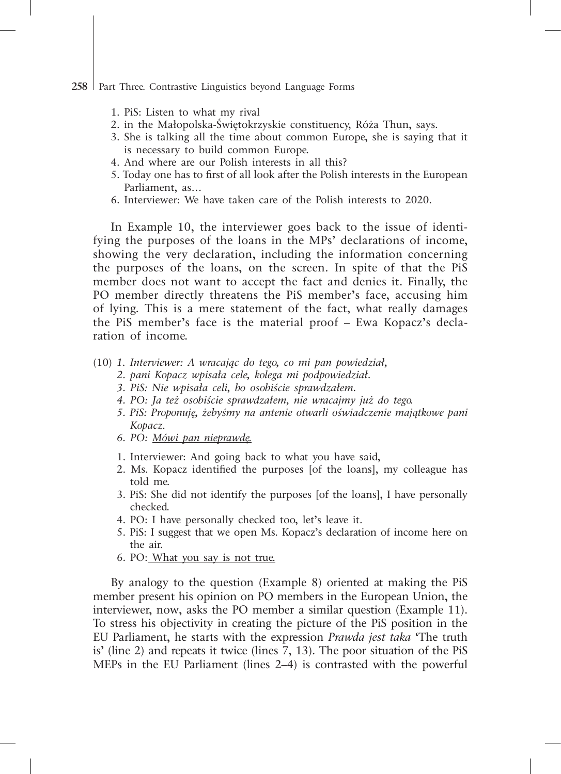- 1. PiS: Listen to what my rival
- 2. in the Małopolska-Świętokrzyskie constituency, Róża Thun, says.
- 3. She is talking all the time about common Europe, she is saying that it is necessary to build common Europe.
- 4. And where are our Polish interests in all this?
- 5. Today one has to first of all look after the Polish interests in the European Parliament, as…
- 6. Interviewer: We have taken care of the Polish interests to 2020.

In Example 10, the interviewer goes back to the issue of identifying the purposes of the loans in the MPs' declarations of income, showing the very declaration, including the information concerning the purposes of the loans, on the screen. In spite of that the PiS member does not want to accept the fact and denies it. Finally, the PO member directly threatens the PiS member's face, accusing him of lying. This is a mere statement of the fact, what really damages the PiS member's face is the material proof – Ewa Kopacz's declaration of income.

- (10) *1. Interviewer: A wracając do tego, co mi pan powiedział,* 
	- *2. pani Kopacz wpisała cele, kolega mi podpowiedział.*
	- *3. PiS: Nie wpisała celi, bo osobiście sprawdzałem.*
	- *4. PO: Ja też osobiście sprawdzałem, nie wracajmy już do tego.*
	- *5. PiS: Proponuję, żebyśmy na antenie otwarli oświadczenie majątkowe pani Kopacz.*
	- *6. PO: Mówi pan nieprawdę.*
	- 1. Interviewer: And going back to what you have said,
	- 2. Ms. Kopacz identified the purposes [of the loans], my colleague has told me.
	- 3. PiS: She did not identify the purposes [of the loans], I have personally checked.
	- 4. PO: I have personally checked too, let's leave it.
	- 5. PiS: I suggest that we open Ms. Kopacz's declaration of income here on the air.
	- 6. PO: What you say is not true.

By analogy to the question (Example 8) oriented at making the PiS member present his opinion on PO members in the European Union, the interviewer, now, asks the PO member a similar question (Example 11). To stress his objectivity in creating the picture of the PiS position in the EU Parliament, he starts with the expression *Prawda jest taka* 'The truth is' (line 2) and repeats it twice (lines 7, 13). The poor situation of the PiS MEPs in the EU Parliament (lines 2–4) is contrasted with the powerful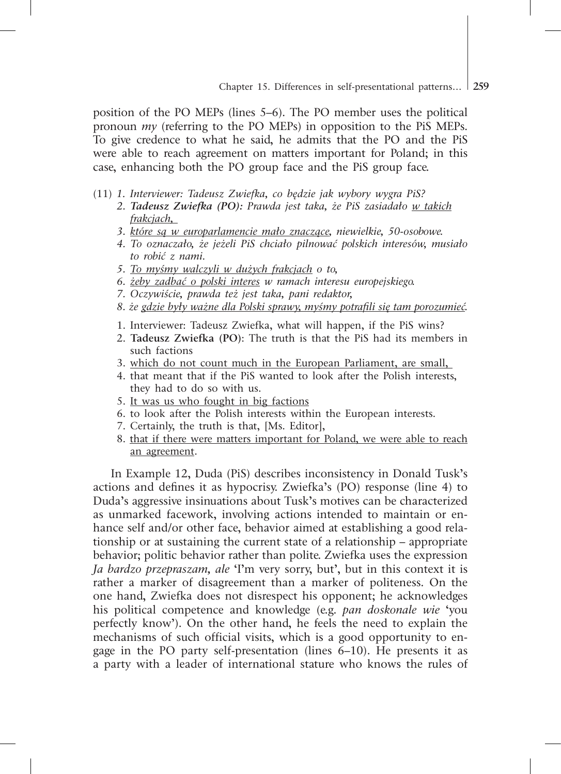position of the PO MEPs (lines 5–6). The PO member uses the political pronoun *my* (referring to the PO MEPs) in opposition to the PiS MEPs. To give credence to what he said, he admits that the PO and the PiS were able to reach agreement on matters important for Poland; in this case, enhancing both the PO group face and the PiS group face.

- (11) *1. Interviewer: Tadeusz Zwiefka, co będzie jak wybory wygra PiS?*
	- *2. Tadeusz Zwiefka (PO): Prawda jest taka, że PiS zasiadało w takich frakcjach,*
	- *3. które są w europarlamencie mało znaczące, niewielkie, 50-osobowe.*
	- *4. To oznaczało, że jeżeli PiS chciało pilnować polskich interesów, musiało to robić z nami.*
	- *5. To myśmy walczyli w dużych frakcjach o to,*
	- *6. żeby zadbać o polski interes w ramach interesu europejskiego.*
	- *7. Oczywiście, prawda też jest taka, pani redaktor,*
	- *8. że gdzie były ważne dla Polski sprawy, myśmy potrafili się tam porozumieć.*
	- 1. Interviewer: Tadeusz Zwiefka, what will happen, if the PiS wins?
	- 2. **Tadeusz Zwiefka (PO)**: The truth is that the PiS had its members in such factions
	- 3. which do not count much in the European Parliament, are small,
	- 4. that meant that if the PiS wanted to look after the Polish interests, they had to do so with us.
	- 5. It was us who fought in big factions
	- 6. to look after the Polish interests within the European interests.
	- 7. Certainly, the truth is that, [Ms. Editor],
	- 8. that if there were matters important for Poland, we were able to reach an agreement.

In Example 12, Duda (PiS) describes inconsistency in Donald Tusk's actions and defines it as hypocrisy. Zwiefka's (PO) response (line 4) to Duda's aggressive insinuations about Tusk's motives can be characterized as unmarked facework, involving actions intended to maintain or enhance self and/or other face, behavior aimed at establishing a good relationship or at sustaining the current state of a relationship – appropriate behavior; politic behavior rather than polite. Zwiefka uses the expression *Ja bardzo przepraszam, ale* 'I'm very sorry, but', but in this context it is rather a marker of disagreement than a marker of politeness. On the one hand, Zwiefka does not disrespect his opponent; he acknowledges his political competence and knowledge (e.g. *pan doskonale wie* 'you perfectly know'). On the other hand, he feels the need to explain the mechanisms of such official visits, which is a good opportunity to engage in the PO party self-presentation (lines 6–10). He presents it as a party with a leader of international stature who knows the rules of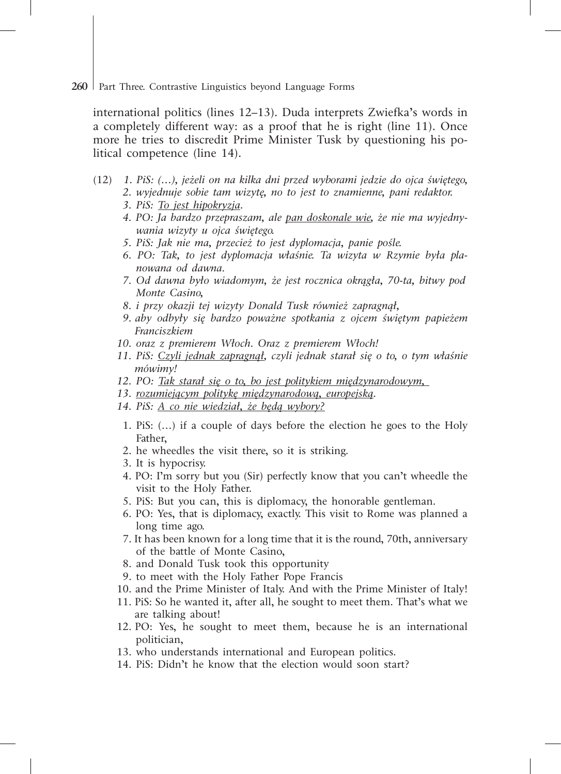international politics (lines 12–13). Duda interprets Zwiefka's words in a completely different way: as a proof that he is right (line 11). Once more he tries to discredit Prime Minister Tusk by questioning his political competence (line 14).

- (12) *1. PiS: (…), jeżeli on na kilka dni przed wyborami jedzie do ojca świętego, 2. wyjednuje sobie tam wizytę, no to jest to znamienne, pani redaktor.*
	- *3. PiS: To jest hipokryzja.*
	- *4. PO: Ja bardzo przepraszam, ale pan doskonale wie, że nie ma wyjedny wania wizyty u ojca świętego.*
	- *5. PiS: Jak nie ma, przecież to jest dyplomacja, panie pośle.*
	- *6. PO: Tak, to jest dyplomacja właśnie. Ta wizyta w Rzymie była pla nowana od dawna.*
	- *7. Od dawna było wiadomym, że jest rocznica okrągła, 70-ta, bitwy pod Monte Casino,*
	- *8. i przy okazji tej wizyty Donald Tusk również zapragnął,*
	- *9. aby odbyły się bardzo poważne spotkania z ojcem świętym papieżem Franciszkiem*
	- *10. oraz z premierem Włoch. Oraz z premierem Włoch!*
	- *11. PiS: Czyli jednak zapragnął, czyli jednak starał się o to, o tym właśnie mówimy!*
	- *12. PO: Tak starał się o to, bo jest politykiem międzynarodowym,*
	- *13. rozumiejącym politykę międzynarodową, europejską.*
	- *14. PiS: A co nie wiedział, że będą wybory?*
		- 1. PiS: (…) if a couple of days before the election he goes to the Holy Father,
	- 2. he wheedles the visit there, so it is striking.
	- 3. It is hypocrisy.
	- 4. PO: I'm sorry but you (Sir) perfectly know that you can't wheedle the visit to the Holy Father.
	- 5. PiS: But you can, this is diplomacy, the honorable gentleman.
	- 6. PO: Yes, that is diplomacy, exactly. This visit to Rome was planned a long time ago.
	- 7. It has been known for a long time that it is the round, 70th, anniversary of the battle of Monte Casino,
	- 8. and Donald Tusk took this opportunity
	- 9. to meet with the Holy Father Pope Francis
	- 10. and the Prime Minister of Italy. And with the Prime Minister of Italy!
	- 11. PiS: So he wanted it, after all, he sought to meet them. That's what we are talking about!
	- 12. PO: Yes, he sought to meet them, because he is an international politician,
	- 13. who understands international and European politics.
	- 14. PiS: Didn't he know that the election would soon start?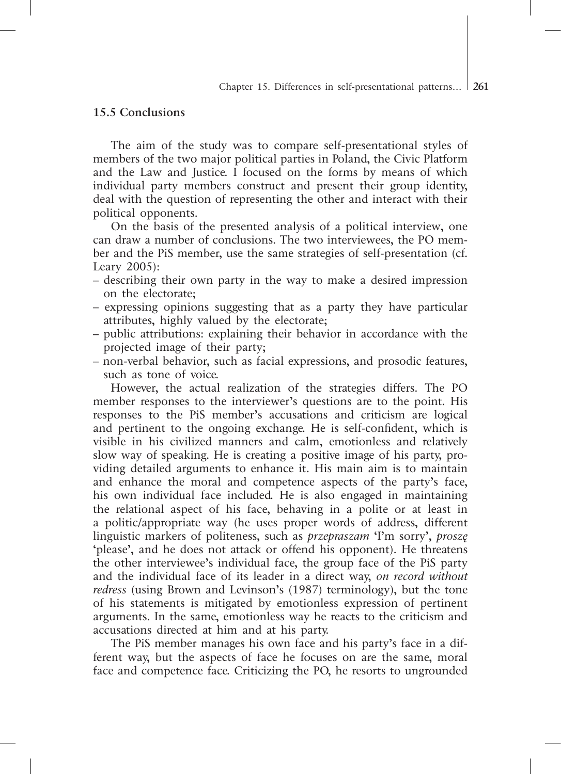#### **15.5 Conclusions**

The aim of the study was to compare self-presentational styles of members of the two major political parties in Poland, the Civic Platform and the Law and Justice. I focused on the forms by means of which individual party members construct and present their group identity, deal with the question of representing the other and interact with their political opponents.

On the basis of the presented analysis of a political interview, one can draw a number of conclusions. The two interviewees, the PO member and the PiS member, use the same strategies of self-presentation (cf. Leary 2005):

- describing their own party in the way to make a desired impression on the electorate;
- expressing opinions suggesting that as a party they have particular attributes, highly valued by the electorate;
- public attributions: explaining their behavior in accordance with the projected image of their party;
- non-verbal behavior, such as facial expressions, and prosodic features, such as tone of voice.

However, the actual realization of the strategies differs. The PO member responses to the interviewer's questions are to the point. His responses to the PiS member's accusations and criticism are logical and pertinent to the ongoing exchange. He is self-confident, which is visible in his civilized manners and calm, emotionless and relatively slow way of speaking. He is creating a positive image of his party, providing detailed arguments to enhance it. His main aim is to maintain and enhance the moral and competence aspects of the party's face, his own individual face included. He is also engaged in maintaining the relational aspect of his face, behaving in a polite or at least in a politic/appropriate way (he uses proper words of address, different linguistic markers of politeness, such as *przepraszam* 'I'm sorry', *proszę*  'please', and he does not attack or offend his opponent). He threatens the other interviewee's individual face, the group face of the PiS party and the individual face of its leader in a direct way, *on record without redress* (using Brown and Levinson's (1987) terminology), but the tone of his statements is mitigated by emotionless expression of pertinent arguments. In the same, emotionless way he reacts to the criticism and accusations directed at him and at his party.

The PiS member manages his own face and his party's face in a different way, but the aspects of face he focuses on are the same, moral face and competence face. Criticizing the PO, he resorts to ungrounded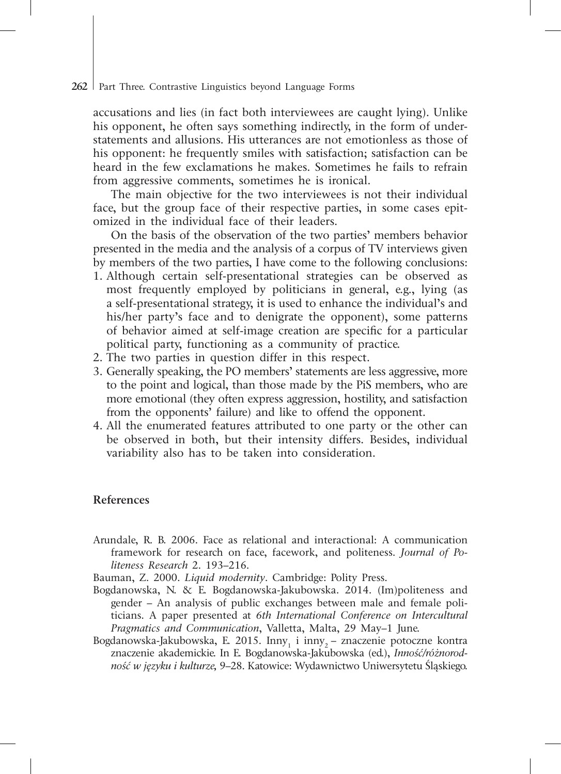accusations and lies (in fact both interviewees are caught lying). Unlike his opponent, he often says something indirectly, in the form of understatements and allusions. His utterances are not emotionless as those of his opponent: he frequently smiles with satisfaction; satisfaction can be heard in the few exclamations he makes. Sometimes he fails to refrain from aggressive comments, sometimes he is ironical.

The main objective for the two interviewees is not their individual face, but the group face of their respective parties, in some cases epitomized in the individual face of their leaders.

On the basis of the observation of the two parties' members behavior presented in the media and the analysis of a corpus of TV interviews given by members of the two parties, I have come to the following conclusions:

- 1. Although certain self-presentational strategies can be observed as most frequently employed by politicians in general, e.g., lying (as a self-presentational strategy, it is used to enhance the individual's and his/her party's face and to denigrate the opponent), some patterns of behavior aimed at self-image creation are specific for a particular political party, functioning as a community of practice.
- 2. The two parties in question differ in this respect.
- 3. Generally speaking, the PO members' statements are less aggressive, more to the point and logical, than those made by the PiS members, who are more emotional (they often express aggression, hostility, and satisfaction from the opponents' failure) and like to offend the opponent.
- 4. All the enumerated features attributed to one party or the other can be observed in both, but their intensity differs. Besides, individual variability also has to be taken into consideration.

### **References**

- Arundale, R. B. 2006. Face as relational and interactional: A communication framework for research on face, facework, and politeness. *Journal of Politeness Research* 2. 193–216.
- Bauman, Z. 2000. *Liquid modernity*. Cambridge: Polity Press.
- Bogdanowska, N. & E. Bogdanowska-Jakubowska. 2014. (Im)politeness and gender – An analysis of public exchanges between male and female politicians. A paper presented at *6th International Conference on Intercultural Pragmatics and Communication*, Valletta, Malta, 29 May–1 June.
- Bogdanowska-Jakubowska, E. 2015.  $\text{Inny}_1$  i  $\text{inny}_2$  znaczenie potoczne kontra znaczenie akademickie. In E. Bogdanowska-Jakubowska (ed.), *Inność/różnorodność w języku i kulturze,* 9–28. Katowice: Wydawnictwo Uniwersytetu Śląskiego.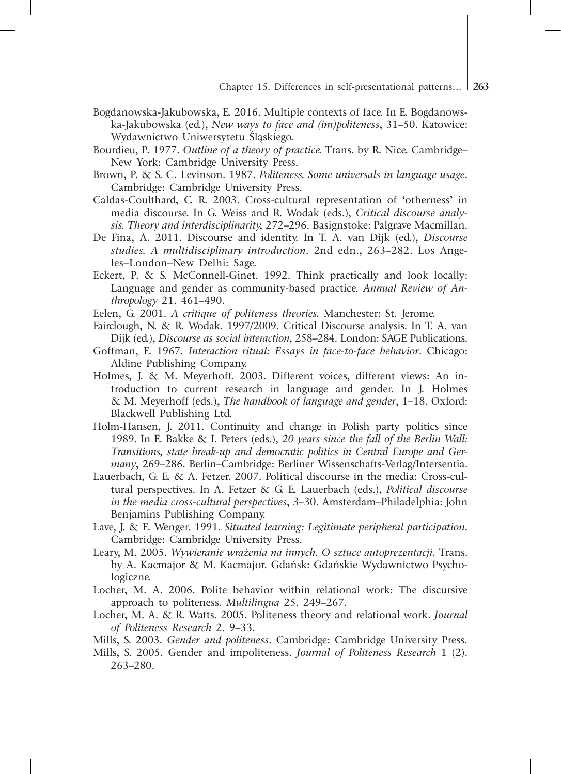- Bogdanowska-Jakubowska, E. 2016. Multiple contexts of face. In E. Bogdanowska-Jakubowska (ed.), *New ways to face and (im)politeness*, 31–50. Katowice: Wydawnictwo Uniwersytetu Śląskiego.
- Bourdieu, P. 1977. *Outline of a theory of practice.* Trans. by R. Nice. Cambridge– New York: Cambridge University Press.
- Brown, P. & S. C. Levinson. 1987. *Politeness. Some universals in language usage*. Cambridge: Cambridge University Press.
- Caldas-Coulthard, C. R. 2003. Cross-cultural representation of 'otherness' in media discourse. In G. Weiss and R. Wodak (eds.), *Critical discourse analysis. Theory and interdisciplinarity,* 272–296. Basignstoke: Palgrave Macmillan.
- De Fina, A. 2011. Discourse and identity. In T. A. van Dijk (ed.), *Discourse studies. A multidisciplinary introduction.* 2nd edn., 263–282. Los Angeles–London–New Delhi: Sage.
- Eckert, P. & S. McConnell-Ginet. 1992. Think practically and look locally: Language and gender as community-based practice. *Annual Review of Anthropology* 21. 461–490.
- Eelen, G. 2001. *A critique of politeness theories.* Manchester: St. Jerome.
- Fairclough, N. & R. Wodak. 1997/2009. Critical Discourse analysis. In T. A. van Dijk (ed.), *Discourse as social interaction*, 258–284. London: SAGE Publications.
- Goffman, E. 1967. *Interaction ritual: Essays in face-to-face behavior*. Chicago: Aldine Publishing Company.
- Holmes, J. & M. Meyerhoff. 2003. Different voices, different views: An introduction to current research in language and gender. In J. Holmes & M. Meyerhoff (eds.), *The handbook of language and gender*, 1–18. Oxford: Blackwell Publishing Ltd.
- Holm-Hansen, J. 2011. Continuity and change in Polish party politics since 1989. In E. Bakke & I. Peters (eds.), *20 years since the fall of the Berlin Wall: Transitions, state break-up and democratic politics in Central Europe and Germany*, 269–286. Berlin–Cambridge: Berliner Wissenschafts-Verlag/Intersentia.
- Lauerbach, G. E. & A. Fetzer. 2007. Political discourse in the media: Cross-cultural perspectives. In A. Fetzer & G. E. Lauerbach (eds.), *Political discourse in the media cross-cultural perspectives*, 3–30. Amsterdam–Philadelphia: John Benjamins Publishing Company.
- Lave, J. & E. Wenger. 1991. *Situated learning: Legitimate peripheral participation.*  Cambridge: Cambridge University Press.
- Leary, M. 2005. *Wywieranie wrażenia na innych. O sztuce autoprezentacji.* Trans. by A. Kacmajor & M. Kacmajor. Gdańsk: Gdańskie Wydawnictwo Psychologiczne.
- Locher, M. A. 2006. Polite behavior within relational work: The discursive approach to politeness. *Multilingua* 25. 249–267.
- Locher, M. A. & R. Watts. 2005. Politeness theory and relational work. *Journal of Politeness Research* 2. 9–33.
- Mills, S. 2003. *Gender and politeness*. Cambridge: Cambridge University Press.
- Mills, S. 2005. Gender and impoliteness. *Journal of Politeness Research* 1 (2). 263–280.